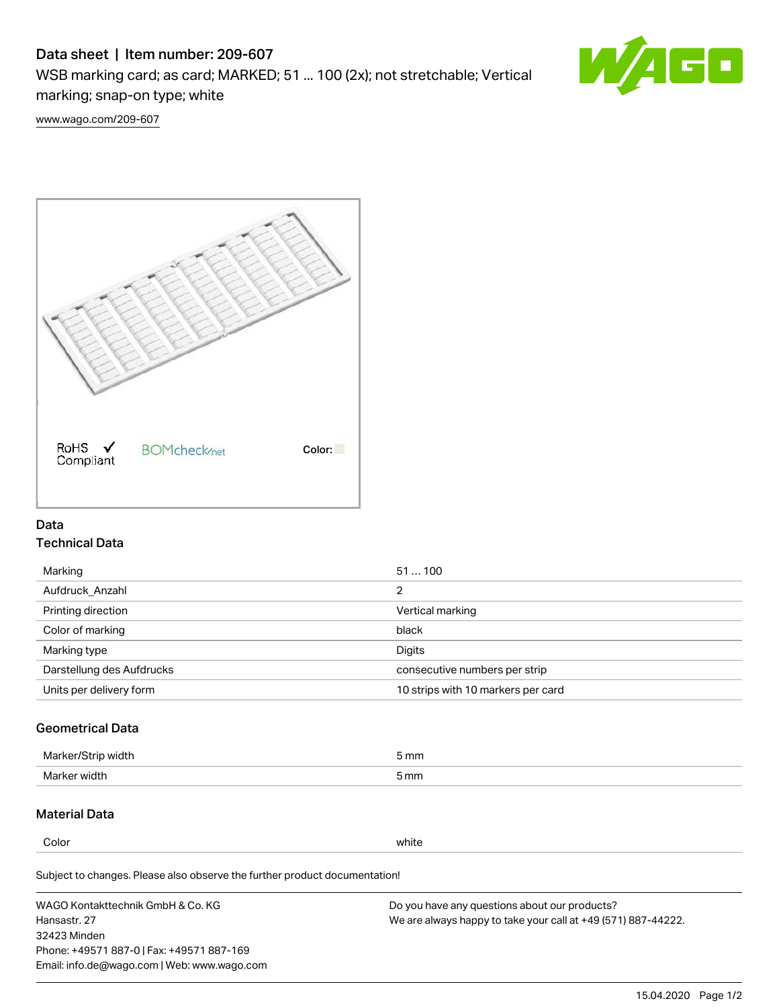# Data sheet | Item number: 209-607

WSB marking card; as card; MARKED; 51 ... 100 (2x); not stretchable; Vertical marking; snap-on type; white



[www.wago.com/209-607](http://www.wago.com/209-607)



### Data Technical Data

| 51100                              |
|------------------------------------|
| 2                                  |
| Vertical marking                   |
| black                              |
| Digits                             |
| consecutive numbers per strip      |
| 10 strips with 10 markers per card |
|                                    |

## Geometrical Data

| طلقاء ئ<br><b>Marker</b><br>widtr | ັກmm |
|-----------------------------------|------|
| Marker width                      | 5 mm |

### Material Data

Color white

Subject to changes. Please also observe the further product documentation!

WAGO Kontakttechnik GmbH & Co. KG Hansastr. 27 32423 Minden Phone: +49571 887-0 | Fax: +49571 887-169 Email: info.de@wago.com | Web: www.wago.com Do you have any questions about our products? We are always happy to take your call at +49 (571) 887-44222.